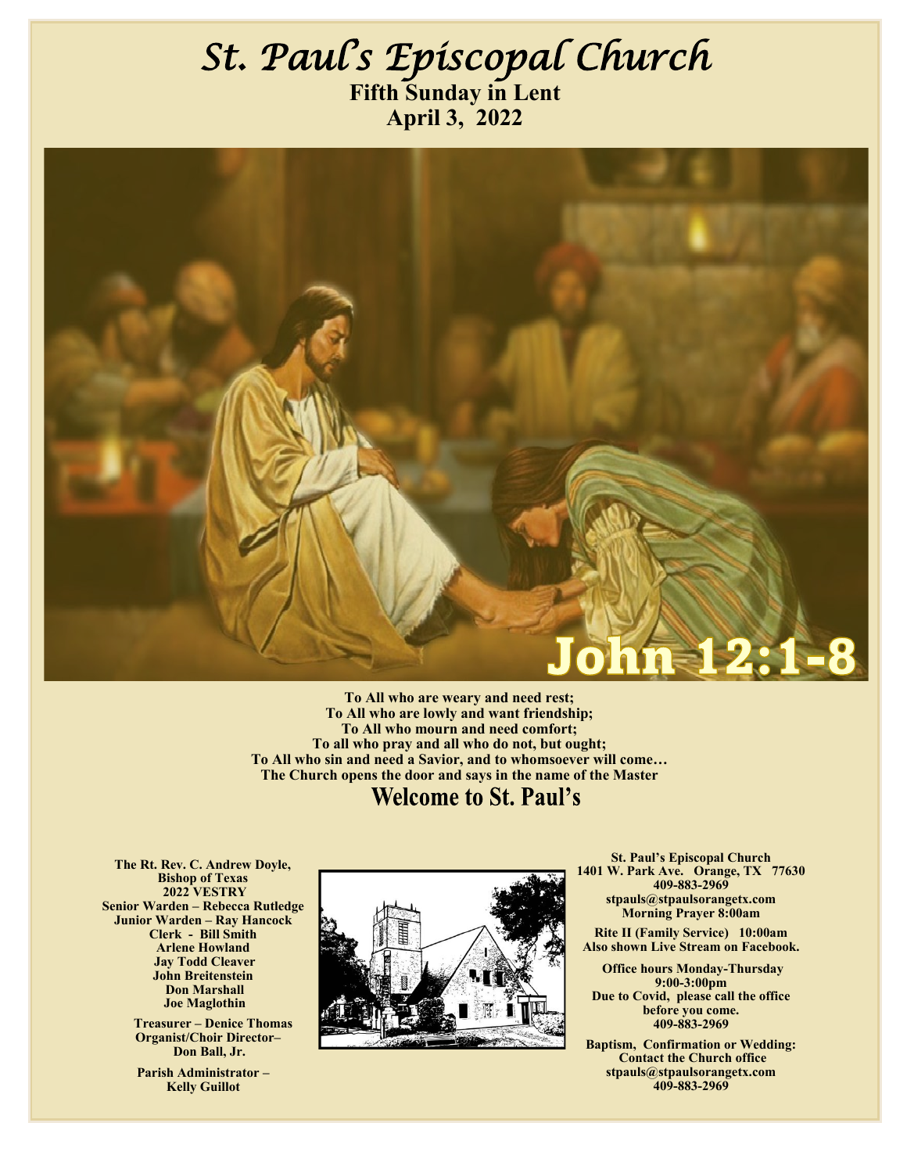### *St. Paul's Episcopal Church*  **Fifth Sunday in Lent April 3, 2022**



**To All who are weary and need rest; To All who are lowly and want friendship; To All who mourn and need comfort; To all who pray and all who do not, but ought; To All who sin and need a Savior, and to whomsoever will come… The Church opens the door and says in the name of the Master**

**Welcome to St. Paul's** 

 **The Rt. Rev. C. Andrew Doyle, Bishop of Texas 2022 VESTRY Senior Warden – Rebecca Rutledge Junior Warden – Ray Hancock Clerk - Bill Smith Arlene Howland Jay Todd Cleaver John Breitenstein Don Marshall Joe Maglothin** 

> **Treasurer – Denice Thomas Organist/Choir Director– Don Ball, Jr.**

**Parish Administrator – Kelly Guillot**



**St. Paul's Episcopal Church 1401 W. Park Ave. Orange, TX 77630 409-883-2969 stpauls@stpaulsorangetx.com Morning Prayer 8:00am**

**Rite II (Family Service) 10:00am Also shown Live Stream on Facebook.**

 **Office hours Monday-Thursday 9:00-3:00pm Due to Covid, please call the office before you come. 409-883-2969**

**Baptism, Confirmation or Wedding: Contact the Church office stpauls@stpaulsorangetx.com 409-883-2969**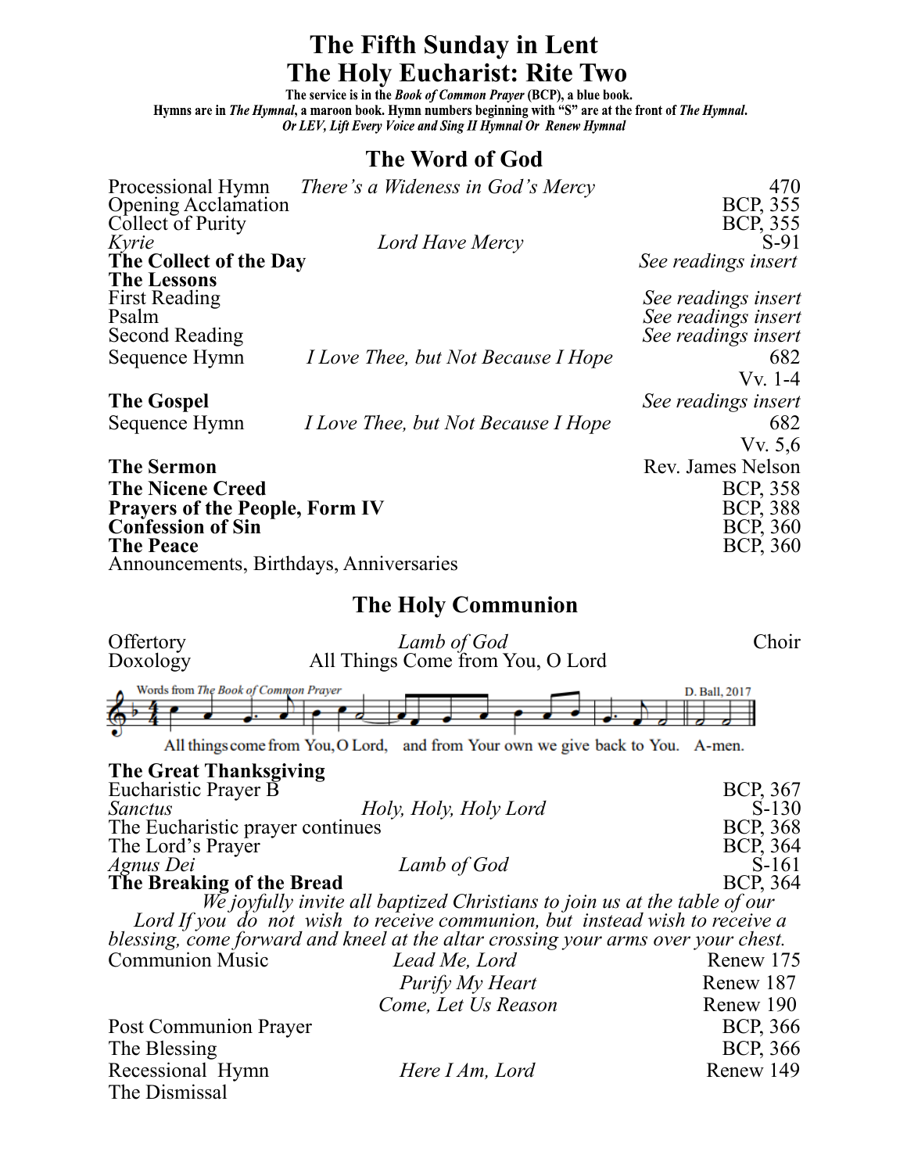# **The Fifth Sunday in Lent The Holy Eucharist: Rite Two**<br>The service is in the *Book of Common Prayer (BCP)*, a blue book.

Hymns are in *The Hymnal*, a maroon book. Hymn numbers beginning with "S" are at the front of The Hymnal. Or LEV, Lift Every Voice and Sing II Hymnal Or Renew Hymnal

#### **The Word of God**

| Processional Hymn                       | There's a Wideness in God's Mercy          | 470                 |
|-----------------------------------------|--------------------------------------------|---------------------|
| <b>Opening Acclamation</b>              |                                            | BCP, 355            |
| Collect of Purity                       |                                            | BCP, 355            |
| Kyrie                                   | Lord Have Mercy                            | $S-91$              |
| The Collect of the Day                  |                                            | See readings insert |
| <b>The Lessons</b>                      |                                            |                     |
| <b>First Reading</b>                    |                                            | See readings insert |
| Psalm                                   |                                            | See readings insert |
| <b>Second Reading</b>                   |                                            | See readings insert |
| Sequence Hymn                           | <i>I Love Thee, but Not Because I Hope</i> | 682                 |
|                                         |                                            | $Vv. 1-4$           |
| <b>The Gospel</b>                       |                                            | See readings insert |
| Sequence Hymn                           | <i>I Love Thee, but Not Because I Hope</i> | 682                 |
|                                         |                                            | Vv. 5,6             |
| <b>The Sermon</b>                       |                                            | Rev. James Nelson   |
| <b>The Nicene Creed</b>                 |                                            | <b>BCP, 358</b>     |
| <b>Prayers of the People, Form IV</b>   | <b>BCP, 388</b>                            |                     |
| <b>Confession of Sin</b>                | BCP, 360                                   |                     |
| <b>The Peace</b>                        |                                            | <b>BCP, 360</b>     |
| Announcements, Birthdays, Anniversaries |                                            |                     |

#### **The Holy Communion**

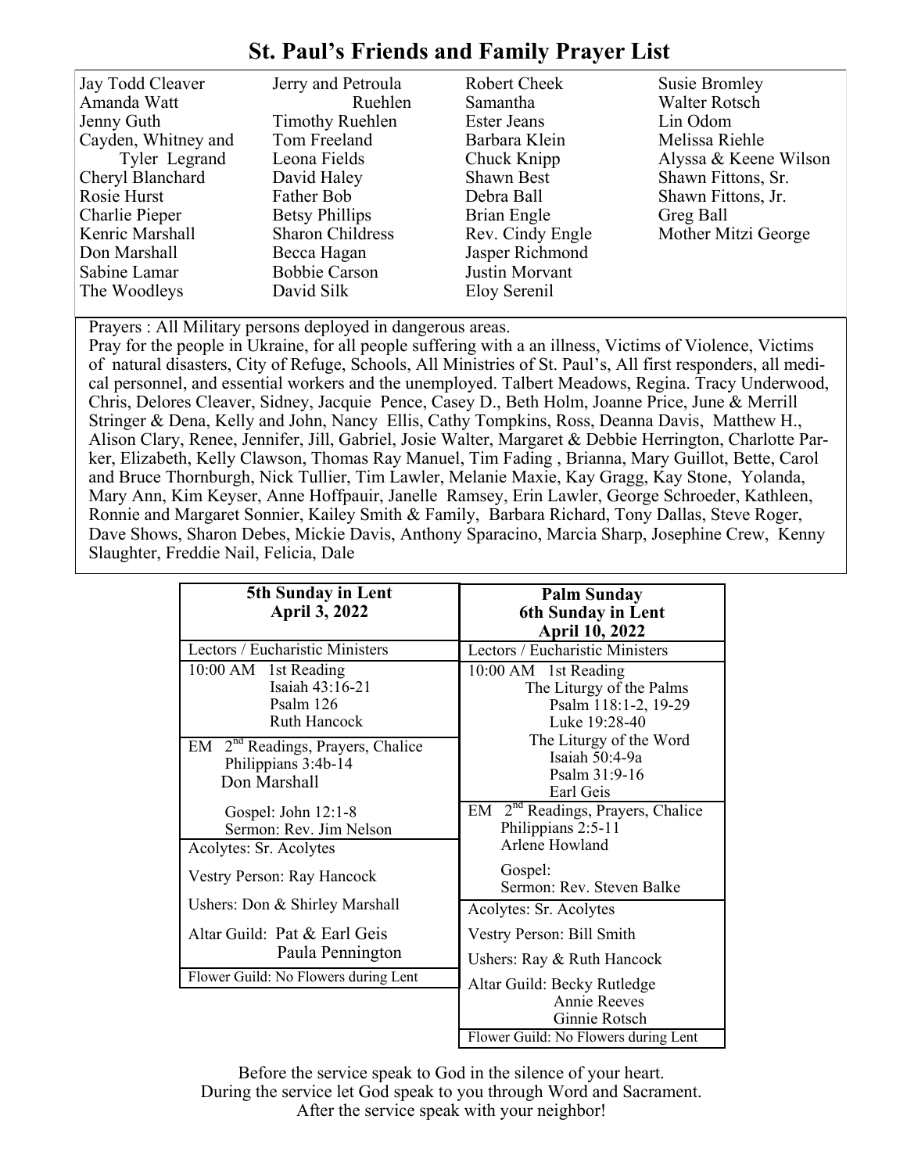### **St. Paul's Friends and Family Prayer List**

| Jay Todd Cleaver<br>Amanda Watt<br>Jenny Guth<br>Cayden, Whitney and<br>Tyler Legrand<br>Cheryl Blanchard<br>Rosie Hurst<br>Charlie Pieper<br>Kenric Marshall<br>Don Marshall | Jerry and Petroula<br>Ruehlen<br><b>Timothy Ruehlen</b><br>Tom Freeland<br>Leona Fields<br>David Haley<br>Father Bob<br><b>Betsy Phillips</b><br><b>Sharon Childress</b><br>Becca Hagan | <b>Robert Cheek</b><br>Samantha<br><b>Ester Jeans</b><br>Barbara Klein<br>Chuck Knipp<br><b>Shawn Best</b><br>Debra Ball<br>Brian Engle<br>Rev. Cindy Engle<br>Jasper Richmond | <b>Susie Bromley</b><br><b>Walter Rotsch</b><br>Lin Odom<br>Melissa Riehle<br>Alyssa & Keene Wilson<br>Shawn Fittons, Sr.<br>Shawn Fittons, Jr.<br>Greg Ball<br>Mother Mitzi George |
|-------------------------------------------------------------------------------------------------------------------------------------------------------------------------------|-----------------------------------------------------------------------------------------------------------------------------------------------------------------------------------------|--------------------------------------------------------------------------------------------------------------------------------------------------------------------------------|-------------------------------------------------------------------------------------------------------------------------------------------------------------------------------------|
| Sabine Lamar                                                                                                                                                                  | <b>Bobbie Carson</b>                                                                                                                                                                    | Justin Morvant                                                                                                                                                                 |                                                                                                                                                                                     |
| The Woodleys                                                                                                                                                                  | David Silk                                                                                                                                                                              | Eloy Serenil                                                                                                                                                                   |                                                                                                                                                                                     |

Prayers : All Military persons deployed in dangerous areas.

Pray for the people in Ukraine, for all people suffering with a an illness, Victims of Violence, Victims of natural disasters, City of Refuge, Schools, All Ministries of St. Paul's, All first responders, all medical personnel, and essential workers and the unemployed. Talbert Meadows, Regina. Tracy Underwood, Chris, Delores Cleaver, Sidney, Jacquie Pence, Casey D., Beth Holm, Joanne Price, June & Merrill Stringer & Dena, Kelly and John, Nancy Ellis, Cathy Tompkins, Ross, Deanna Davis, Matthew H., Alison Clary, Renee, Jennifer, Jill, Gabriel, Josie Walter, Margaret & Debbie Herrington, Charlotte Parker, Elizabeth, Kelly Clawson, Thomas Ray Manuel, Tim Fading , Brianna, Mary Guillot, Bette, Carol and Bruce Thornburgh, Nick Tullier, Tim Lawler, Melanie Maxie, Kay Gragg, Kay Stone, Yolanda, Mary Ann, Kim Keyser, Anne Hoffpauir, Janelle Ramsey, Erin Lawler, George Schroeder, Kathleen, Ronnie and Margaret Sonnier, Kailey Smith & Family, Barbara Richard, Tony Dallas, Steve Roger, Dave Shows, Sharon Debes, Mickie Davis, Anthony Sparacino, Marcia Sharp, Josephine Crew, Kenny Slaughter, Freddie Nail, Felicia, Dale

| 5th Sunday in Lent                                                                                                                                                  | <b>Palm Sunday</b>                                                                                                                                                   |  |
|---------------------------------------------------------------------------------------------------------------------------------------------------------------------|----------------------------------------------------------------------------------------------------------------------------------------------------------------------|--|
| <b>April 3, 2022</b>                                                                                                                                                | <b>6th Sunday in Lent</b>                                                                                                                                            |  |
|                                                                                                                                                                     | <b>April 10, 2022</b>                                                                                                                                                |  |
| Lectors / Eucharistic Ministers                                                                                                                                     | Lectors / Eucharistic Ministers                                                                                                                                      |  |
| 10:00 AM 1st Reading<br>Isaiah 43:16-21<br>Psalm 126<br><b>Ruth Hancock</b><br>EM 2 <sup>nd</sup> Readings, Prayers, Chalice<br>Philippians 3:4b-14<br>Don Marshall | 10:00 AM 1st Reading<br>The Liturgy of the Palms<br>Psalm 118:1-2, 19-29<br>Luke 19:28-40<br>The Liturgy of the Word<br>Isaiah 50:4-9a<br>Psalm 31:9-16<br>Earl Geis |  |
| Gospel: John 12:1-8<br>Sermon: Rev. Jim Nelson<br>Acolytes: Sr. Acolytes                                                                                            | EM 2 <sup>nd</sup> Readings, Prayers, Chalice<br>Philippians 2:5-11<br>Arlene Howland                                                                                |  |
| Vestry Person: Ray Hancock                                                                                                                                          | Gospel:<br>Sermon: Rev. Steven Balke                                                                                                                                 |  |
| Ushers: Don & Shirley Marshall                                                                                                                                      | Acolytes: Sr. Acolytes                                                                                                                                               |  |
| Altar Guild: Pat & Earl Geis<br>Paula Pennington                                                                                                                    | Vestry Person: Bill Smith<br>Ushers: Ray & Ruth Hancock                                                                                                              |  |
| Flower Guild: No Flowers during Lent                                                                                                                                | Altar Guild: Becky Rutledge                                                                                                                                          |  |
|                                                                                                                                                                     | <b>Annie Reeves</b>                                                                                                                                                  |  |
|                                                                                                                                                                     | Ginnie Rotsch                                                                                                                                                        |  |
|                                                                                                                                                                     | Flower Guild: No Flowers during Lent                                                                                                                                 |  |

Before the service speak to God in the silence of your heart. During the service let God speak to you through Word and Sacrament. After the service speak with your neighbor!